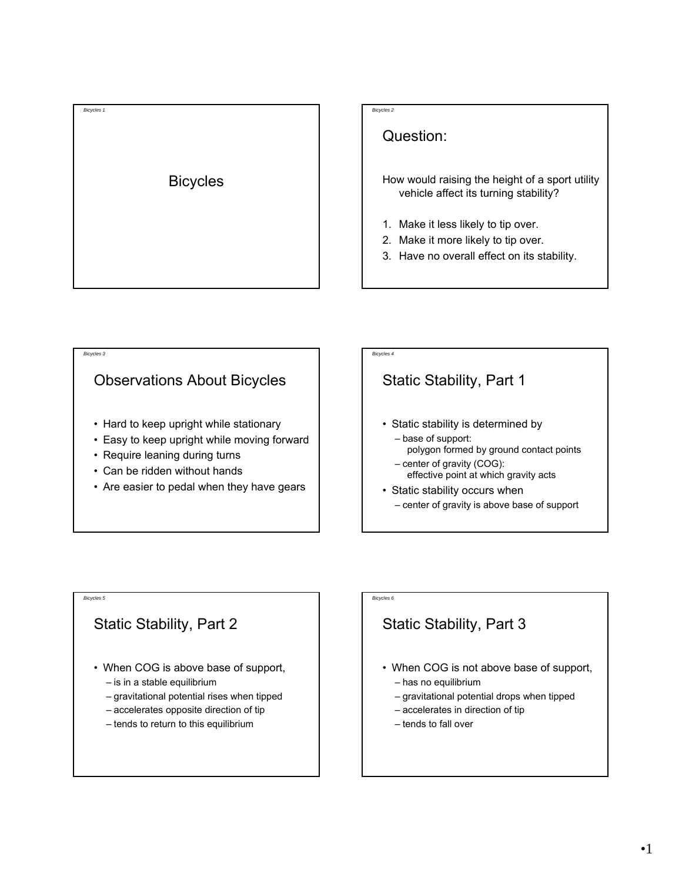

### Question:

- How would raising the height of a sport utility vehicle affect its turning stability?
- 1. Make it less likely to tip over.
- 2. Make it more likely to tip over.
- 3. Have no overall effect on its stability.

# *Bicycles 3* Observations About Bicycles • Hard to keep upright while stationary • Easy to keep upright while moving forward • Require leaning during turns • Can be ridden without hands • Are easier to pedal when they have gears

## *Bicycles 4* Static Stability, Part 1 • Static stability is determined by – base of support: polygon formed by ground contact points – center of gravity (COG): effective point at which gravity acts • Static stability occurs when – center of gravity is above base of support

#### *Bicycles 5*

#### Static Stability, Part 2

- When COG is above base of support,
	- is in a stable equilibrium
	- gravitational potential rises when tipped
	- accelerates opposite direction of tip
	- tends to return to this equilibrium

#### *Bicycles 6*

## Static Stability, Part 3

- When COG is not above base of support,
	- has no equilibrium
	- gravitational potential drops when tipped
	- accelerates in direction of tip
	- tends to fall over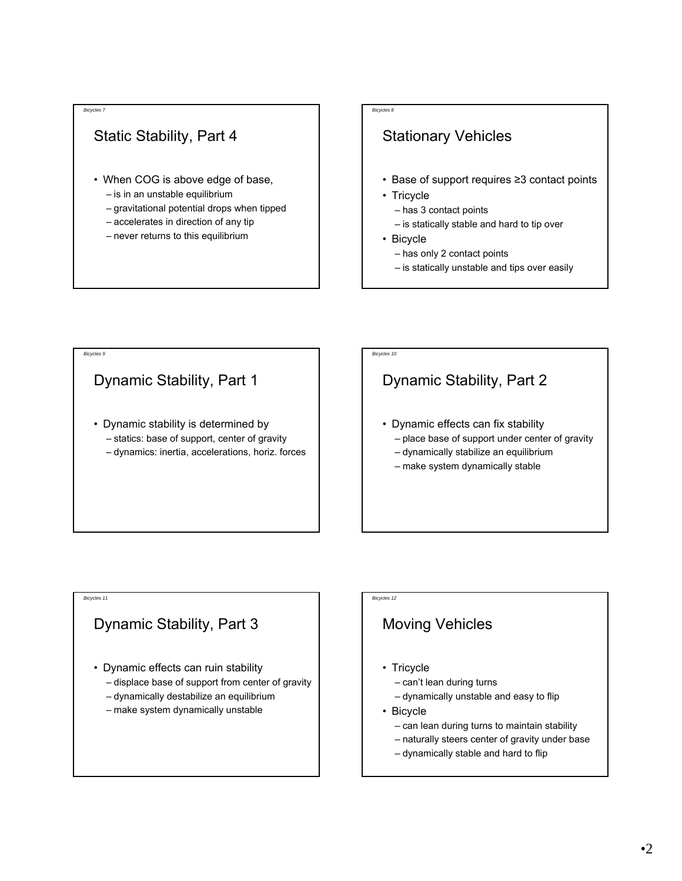*Bicycles 9*

### Static Stability, Part 4

- When COG is above edge of base,
	- is in an unstable equilibrium
	- gravitational potential drops when tipped
	- accelerates in direction of any tip
	- never returns to this equilibrium

#### *Bicycles 8*

### Stationary Vehicles

- Base of support requires ≥3 contact points
- Tricycle
	- has 3 contact points
	- is statically stable and hard to tip over
- Bicycle
	- has only 2 contact points
	- is statically unstable and tips over easily

## Dynamic Stability, Part 1

• Dynamic stability is determined by – statics: base of support, center of gravity – dynamics: inertia, accelerations, horiz. forces

### *Bicycles 10*

### Dynamic Stability, Part 2

- Dynamic effects can fix stability – place base of support under center of gravity
	- dynamically stabilize an equilibrium
	- make system dynamically stable

#### *Bicycles 11*

#### Dynamic Stability, Part 3

- Dynamic effects can ruin stability
	- displace base of support from center of gravity
	- dynamically destabilize an equilibrium
	- make system dynamically unstable

#### *Bicycles 12*

### Moving Vehicles

- Tricycle
	- can't lean during turns
	- dynamically unstable and easy to flip
- Bicycle
	- can lean during turns to maintain stability
	- naturally steers center of gravity under base
	- dynamically stable and hard to flip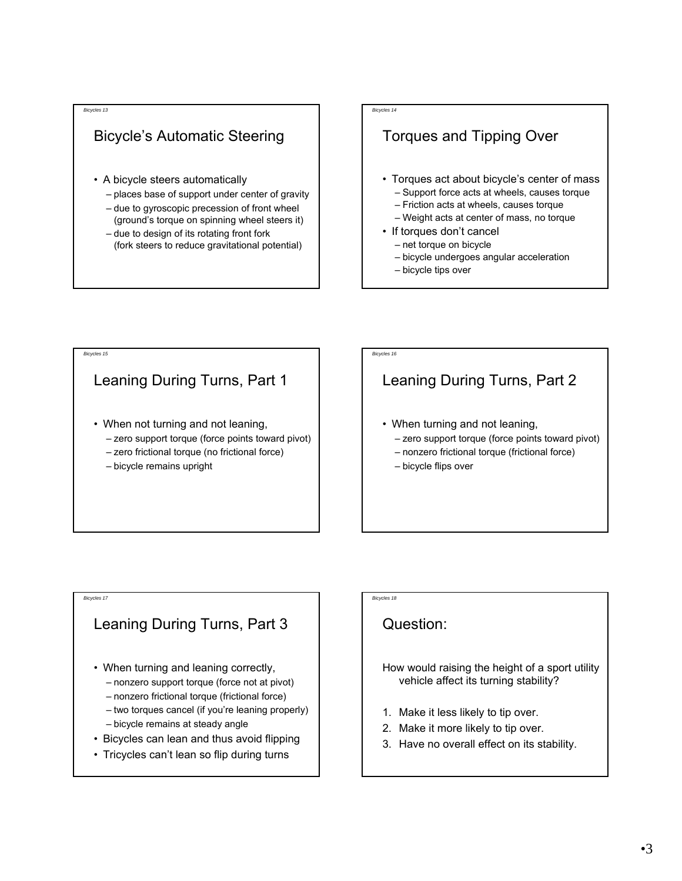### Bicycle's Automatic Steering

- A bicycle steers automatically
	- places base of support under center of gravity
	- due to gyroscopic precession of front wheel
	- (ground's torque on spinning wheel steers it) – due to design of its rotating front fork
	- (fork steers to reduce gravitational potential)

#### *Bicycles 14*

### Torques and Tipping Over

- Torques act about bicycle's center of mass
	- Support force acts at wheels, causes torque
	- Friction acts at wheels, causes torque
	- Weight acts at center of mass, no torque
- If torques don't cancel
	- net torque on bicycle
	- bicycle undergoes angular acceleration
	- bicycle tips over

## *Bicycles 15* Leaning During Turns, Part 1 • When not turning and not leaning, – zero support torque (force points toward pivot) – zero frictional torque (no frictional force) – bicycle remains upright

### *Bicycles 16*

## Leaning During Turns, Part 2

- When turning and not leaning,
	- zero support torque (force points toward pivot)
	- nonzero frictional torque (frictional force)
	- bicycle flips over

#### *Bicycles 17*

### Leaning During Turns, Part 3

- When turning and leaning correctly,
	- nonzero support torque (force not at pivot)
	- nonzero frictional torque (frictional force)
	- two torques cancel (if you're leaning properly)
	- bicycle remains at steady angle
- Bicycles can lean and thus avoid flipping
- Tricycles can't lean so flip during turns

### Question:

*Bicycles 18*

#### How would raising the height of a sport utility vehicle affect its turning stability?

- 1. Make it less likely to tip over.
- 2. Make it more likely to tip over.
- 3. Have no overall effect on its stability.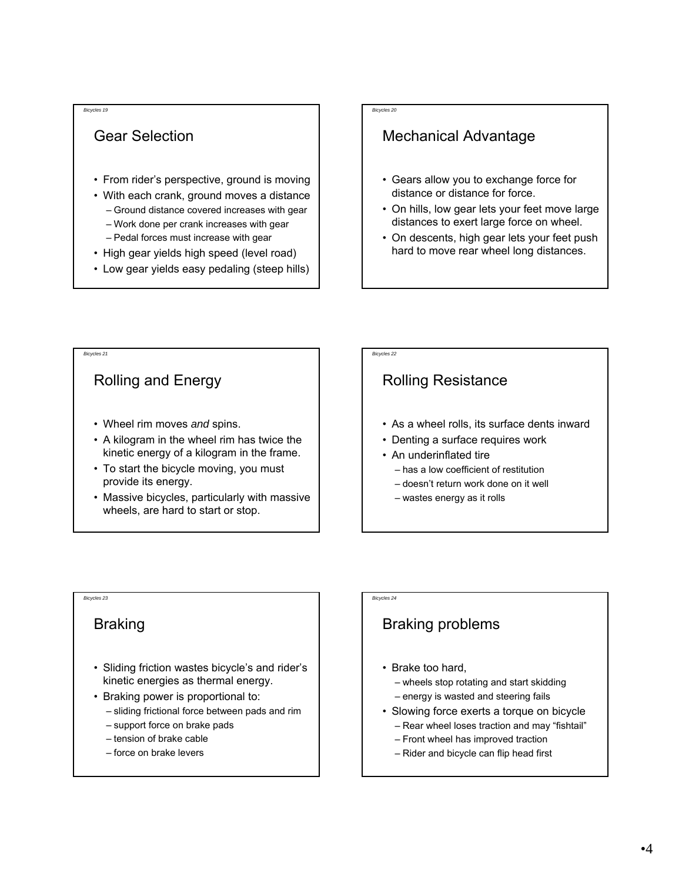### Gear Selection

- From rider's perspective, ground is moving
- With each crank, ground moves a distance – Ground distance covered increases with gear
	- Work done per crank increases with gear
	- Pedal forces must increase with gear
- High gear yields high speed (level road)
- Low gear yields easy pedaling (steep hills)

#### *Bicycles 20*

### Mechanical Advantage

- Gears allow you to exchange force for distance or distance for force.
- On hills, low gear lets your feet move large distances to exert large force on wheel.
- On descents, high gear lets your feet push hard to move rear wheel long distances.

#### *Bicycles 21*

### Rolling and Energy

- Wheel rim moves *and* spins.
- A kilogram in the wheel rim has twice the kinetic energy of a kilogram in the frame.
- To start the bicycle moving, you must provide its energy.
- Massive bicycles, particularly with massive wheels, are hard to start or stop.

## *Bicycles 22*

### Rolling Resistance

- As a wheel rolls, its surface dents inward
- Denting a surface requires work
- An underinflated tire
	- has a low coefficient of restitution
	- doesn't return work done on it well
	- wastes energy as it rolls

### *Bicycles 23*

#### Braking

- Sliding friction wastes bicycle's and rider's kinetic energies as thermal energy.
- Braking power is proportional to:
	- sliding frictional force between pads and rim
	- support force on brake pads
	- tension of brake cable
	- force on brake levers

*Bicycles 24*

### Braking problems

- Brake too hard,
	- wheels stop rotating and start skidding
	- energy is wasted and steering fails
- Slowing force exerts a torque on bicycle – Rear wheel loses traction and may "fishtail"
	- Front wheel has improved traction
	- Rider and bicycle can flip head first